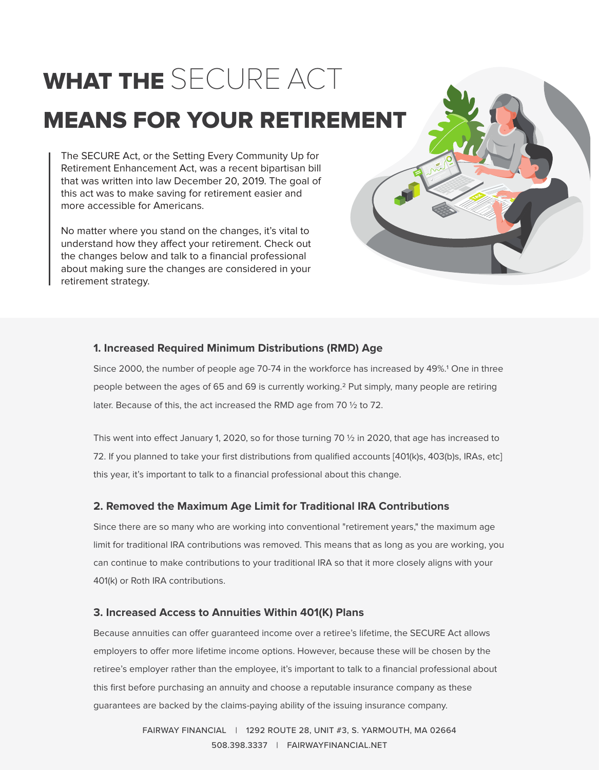# WHAT THE SECURE ACT MEANS FOR YOUR RETIREMENT

The SECURE Act, or the Setting Every Community Up for Retirement Enhancement Act, was a recent bipartisan bill that was written into law December 20, 2019. The goal of this act was to make saving for retirement easier and more accessible for Americans.

No matter where you stand on the changes, it's vital to understand how they affect your retirement. Check out the changes below and talk to a financial professional about making sure the changes are considered in your retirement strategy.



## **1. Increased Required Minimum Distributions (RMD) Age**

Since 2000, the number of people age 70-74 in the workforce has increased by 49%.<sup>1</sup> One in three people between the ages of 65 and 69 is currently working.<sup>2</sup> Put simply, many people are retiring later. Because of this, the act increased the RMD age from 70 ½ to 72.

This went into effect January 1, 2020, so for those turning 70  $\frac{1}{2}$  in 2020, that age has increased to 72. If you planned to take your first distributions from qualified accounts [401(k)s, 403(b)s, IRAs, etc] this year, it's important to talk to a financial professional about this change.

## **2. Removed the Maximum Age Limit for Traditional IRA Contributions**

Since there are so many who are working into conventional "retirement years," the maximum age limit for traditional IRA contributions was removed. This means that as long as you are working, you can continue to make contributions to your traditional IRA so that it more closely aligns with your 401(k) or Roth IRA contributions.

## **3. Increased Access to Annuities Within 401(K) Plans**

Because annuities can offer guaranteed income over a retiree's lifetime, the SECURE Act allows employers to offer more lifetime income options. However, because these will be chosen by the retiree's employer rather than the employee, it's important to talk to a financial professional about this first before purchasing an annuity and choose a reputable insurance company as these guarantees are backed by the claims-paying ability of the issuing insurance company.

> FAIRWAY FINANCIAL | 1292 ROUTE 28, UNIT #3, S. YARMOUTH, MA 02664 508.398.3337 | FAIRWAYFINANCIAL.NET